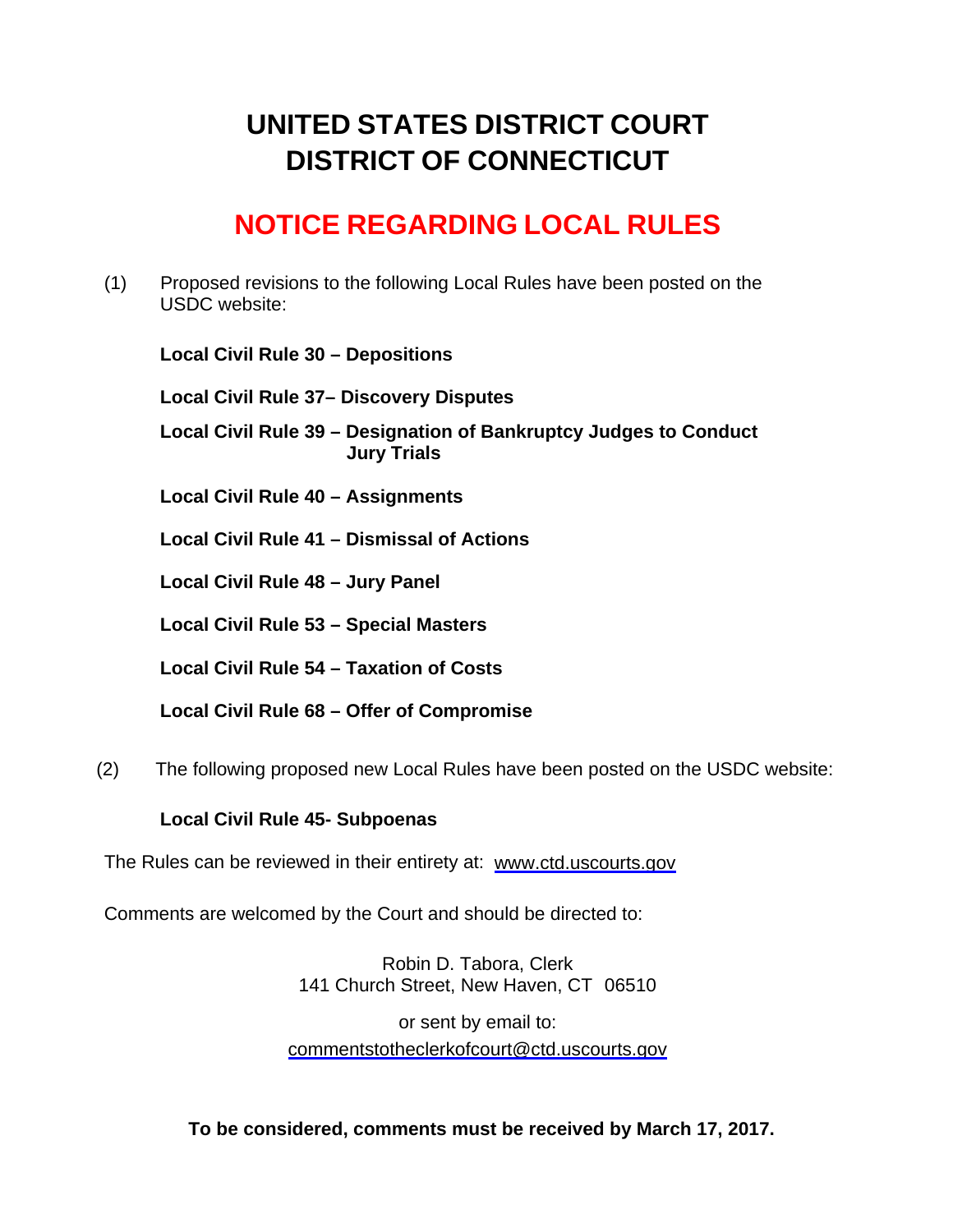# **UNITED STATES DISTRICT COURT DISTRICT OF CONNECTICUT**

# **NOTICE REGARDING LOCAL RULES**

(1) Proposed revisions to the following Local Rules have been posted on the USDC website:

**Local Civil Rule 30 – Depositions** 

**Local Civil Rule 37– Discovery Disputes**

**Local Civil Rule 39 – Designation of Bankruptcy Judges to Conduct Jury Trials** 

**Local Civil Rule 40 – Assignments** 

**Local Civil Rule 41 – Dismissal of Actions** 

**Local Civil Rule 48 – Jury Panel** 

**Local Civil Rule 53 – Special Masters** 

**Local Civil Rule 54 – Taxation of Costs** 

**Local Civil Rule 68 – Offer of Compromise** 

(2) The following proposed new Local Rules have been posted on the USDC website:

# **Local Civil Rule 45- Subpoenas**

The Rules can be reviewed in their entirety at: www.ctd.uscourts.gov

Comments are welcomed by the Court and should be directed to:

Robin D. Tabora, Clerk 141 Church Street, New Haven, CT 06510

or sent by email to: commentstotheclerkofcourt@ctd.uscourts.gov

**To be considered, comments must be received by March 17, 2017.**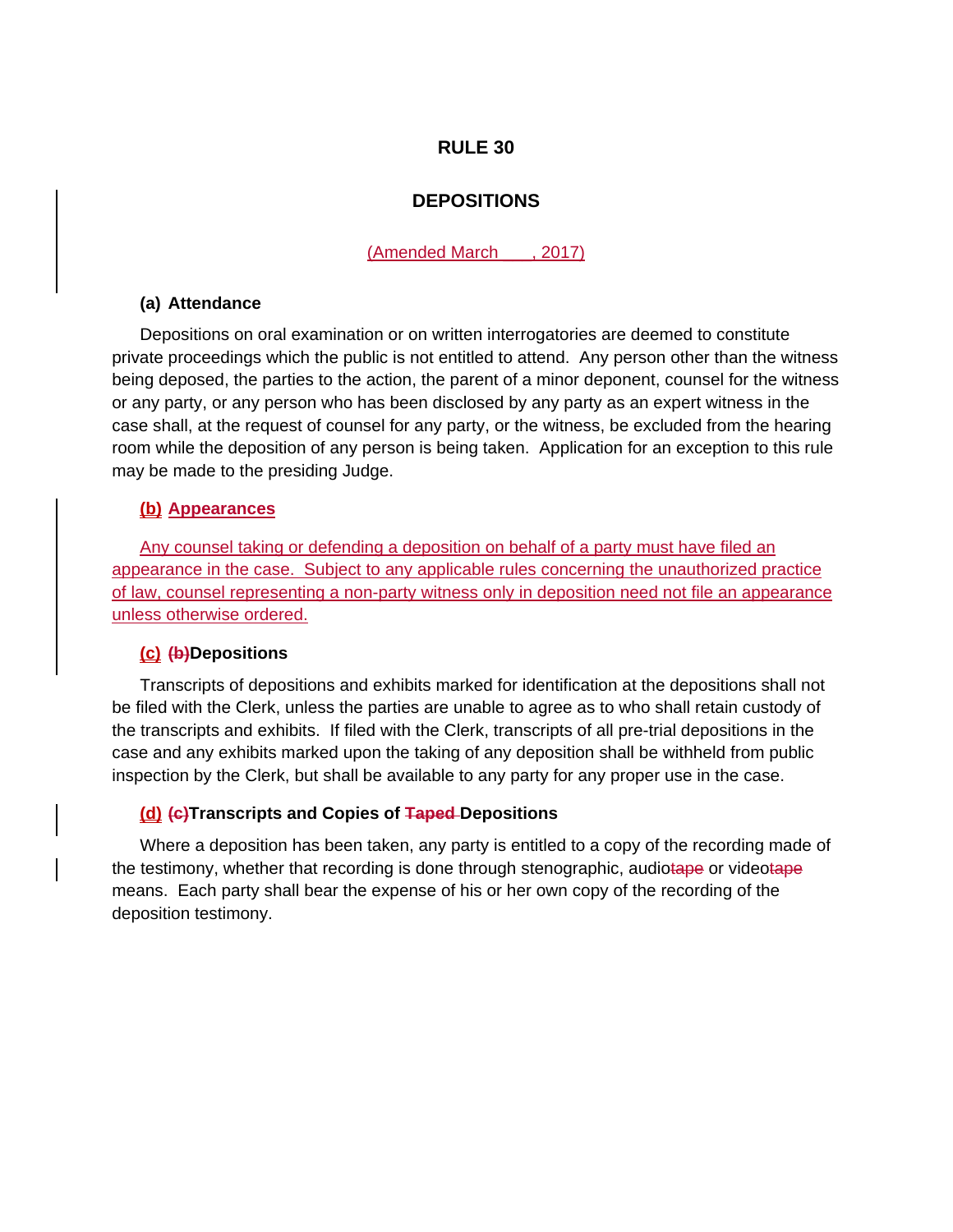# **DEPOSITIONS**

(Amended March \_\_\_, 2017)

## **(a) Attendance**

Depositions on oral examination or on written interrogatories are deemed to constitute private proceedings which the public is not entitled to attend. Any person other than the witness being deposed, the parties to the action, the parent of a minor deponent, counsel for the witness or any party, or any person who has been disclosed by any party as an expert witness in the case shall, at the request of counsel for any party, or the witness, be excluded from the hearing room while the deposition of any person is being taken. Application for an exception to this rule may be made to the presiding Judge.

## **(b) Appearances**

Any counsel taking or defending a deposition on behalf of a party must have filed an appearance in the case. Subject to any applicable rules concerning the unauthorized practice of law, counsel representing a non-party witness only in deposition need not file an appearance unless otherwise ordered.

## **(c) (b)Depositions**

Transcripts of depositions and exhibits marked for identification at the depositions shall not be filed with the Clerk, unless the parties are unable to agree as to who shall retain custody of the transcripts and exhibits. If filed with the Clerk, transcripts of all pre-trial depositions in the case and any exhibits marked upon the taking of any deposition shall be withheld from public inspection by the Clerk, but shall be available to any party for any proper use in the case.

## **(d) (c)Transcripts and Copies of Taped Depositions**

Where a deposition has been taken, any party is entitled to a copy of the recording made of the testimony, whether that recording is done through stenographic, audiotape or videotape means. Each party shall bear the expense of his or her own copy of the recording of the deposition testimony.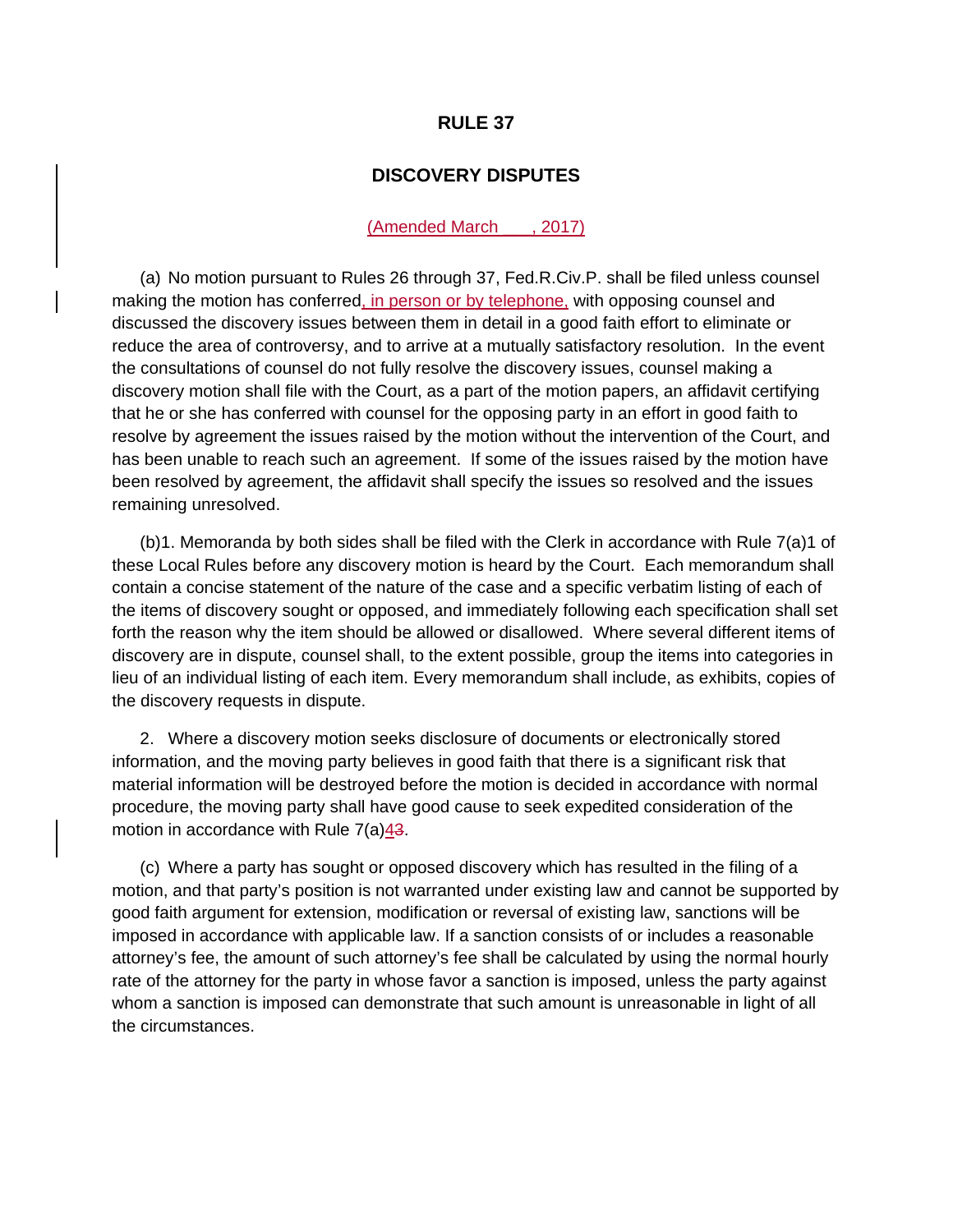# **DISCOVERY DISPUTES**

#### (Amended March \_\_\_, 2017)

(a) No motion pursuant to Rules 26 through 37, Fed.R.Civ.P. shall be filed unless counsel making the motion has conferred, in person or by telephone, with opposing counsel and discussed the discovery issues between them in detail in a good faith effort to eliminate or reduce the area of controversy, and to arrive at a mutually satisfactory resolution. In the event the consultations of counsel do not fully resolve the discovery issues, counsel making a discovery motion shall file with the Court, as a part of the motion papers, an affidavit certifying that he or she has conferred with counsel for the opposing party in an effort in good faith to resolve by agreement the issues raised by the motion without the intervention of the Court, and has been unable to reach such an agreement. If some of the issues raised by the motion have been resolved by agreement, the affidavit shall specify the issues so resolved and the issues remaining unresolved.

(b)1. Memoranda by both sides shall be filed with the Clerk in accordance with Rule 7(a)1 of these Local Rules before any discovery motion is heard by the Court. Each memorandum shall contain a concise statement of the nature of the case and a specific verbatim listing of each of the items of discovery sought or opposed, and immediately following each specification shall set forth the reason why the item should be allowed or disallowed. Where several different items of discovery are in dispute, counsel shall, to the extent possible, group the items into categories in lieu of an individual listing of each item. Every memorandum shall include, as exhibits, copies of the discovery requests in dispute.

2. Where a discovery motion seeks disclosure of documents or electronically stored information, and the moving party believes in good faith that there is a significant risk that material information will be destroyed before the motion is decided in accordance with normal procedure, the moving party shall have good cause to seek expedited consideration of the motion in accordance with Rule 7(a)43.

(c) Where a party has sought or opposed discovery which has resulted in the filing of a motion, and that party's position is not warranted under existing law and cannot be supported by good faith argument for extension, modification or reversal of existing law, sanctions will be imposed in accordance with applicable law. If a sanction consists of or includes a reasonable attorney's fee, the amount of such attorney's fee shall be calculated by using the normal hourly rate of the attorney for the party in whose favor a sanction is imposed, unless the party against whom a sanction is imposed can demonstrate that such amount is unreasonable in light of all the circumstances.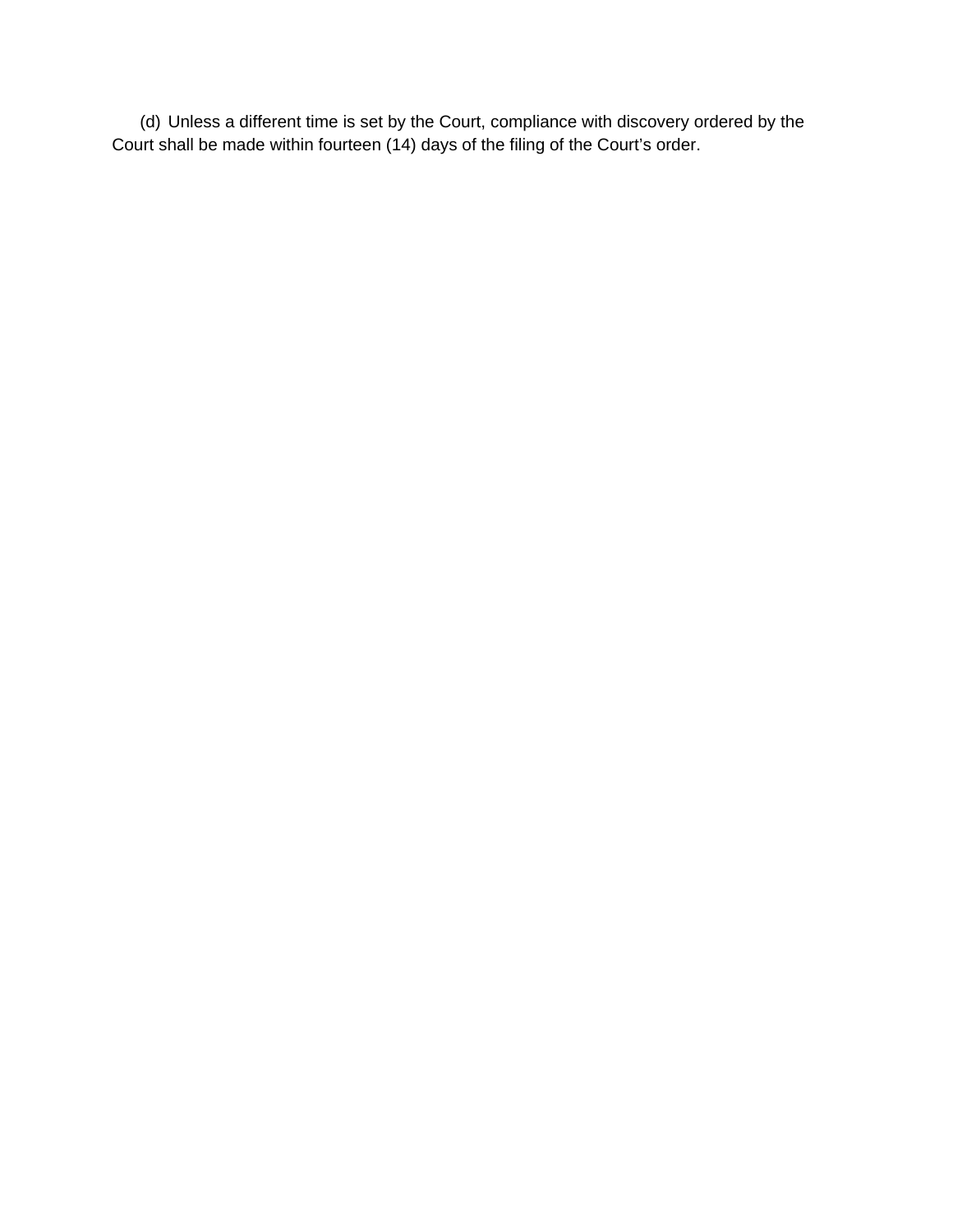(d) Unless a different time is set by the Court, compliance with discovery ordered by the Court shall be made within fourteen (14) days of the filing of the Court's order.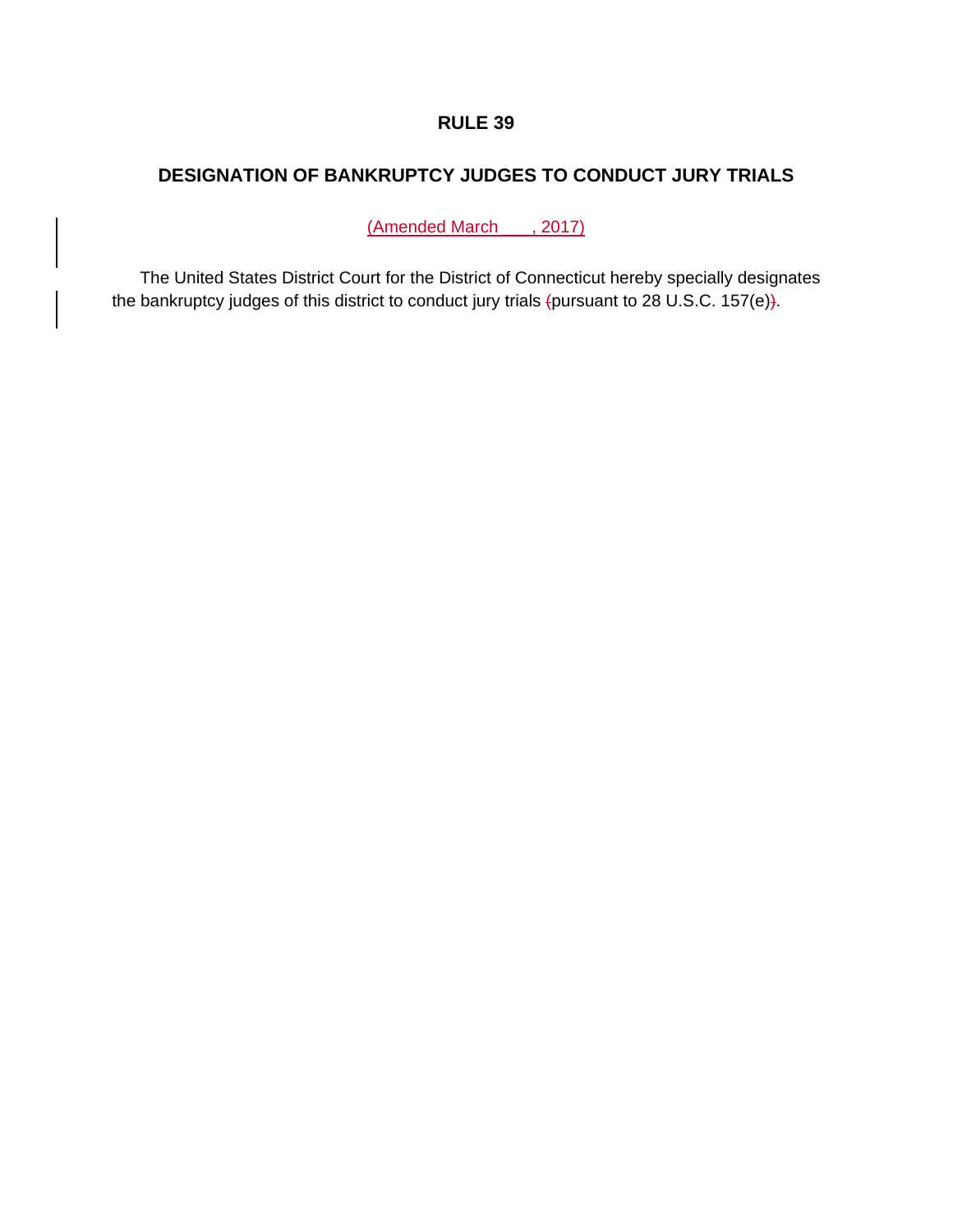# **DESIGNATION OF BANKRUPTCY JUDGES TO CONDUCT JURY TRIALS**

(Amended March , 2017)

The United States District Court for the District of Connecticut hereby specially designates the bankruptcy judges of this district to conduct jury trials (pursuant to 28 U.S.C. 157(e)).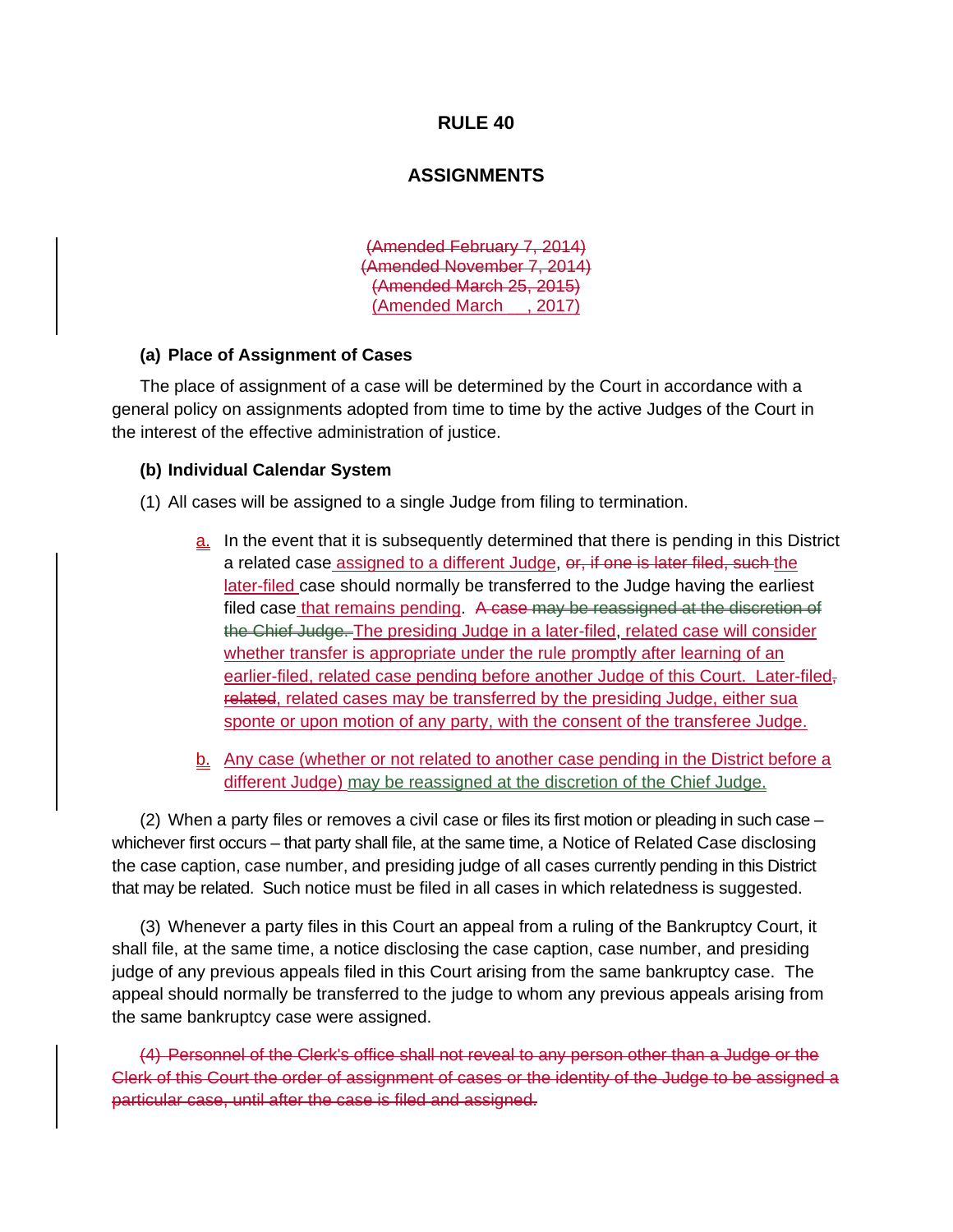## **ASSIGNMENTS**

(Amended February 7, 2014) (Amended November 7, 2014) (Amended March 25, 2015) (Amended March \_\_, 2017)

#### **(a) Place of Assignment of Cases**

The place of assignment of a case will be determined by the Court in accordance with a general policy on assignments adopted from time to time by the active Judges of the Court in the interest of the effective administration of justice.

## **(b) Individual Calendar System**

- (1) All cases will be assigned to a single Judge from filing to termination.
	- a. In the event that it is subsequently determined that there is pending in this District a related case assigned to a different Judge, or, if one is later filed, such the later-filed case should normally be transferred to the Judge having the earliest filed case that remains pending. A case may be reassigned at the discretion of the Chief Judge. The presiding Judge in a later-filed, related case will consider whether transfer is appropriate under the rule promptly after learning of an earlier-filed, related case pending before another Judge of this Court. Later-filedrelated, related cases may be transferred by the presiding Judge, either sua sponte or upon motion of any party, with the consent of the transferee Judge.

b. Any case (whether or not related to another case pending in the District before a different Judge) may be reassigned at the discretion of the Chief Judge.

(2) When a party files or removes a civil case or files its first motion or pleading in such case – whichever first occurs – that party shall file, at the same time, a Notice of Related Case disclosing the case caption, case number, and presiding judge of all cases currently pending in this District that may be related. Such notice must be filed in all cases in which relatedness is suggested.

(3) Whenever a party files in this Court an appeal from a ruling of the Bankruptcy Court, it shall file, at the same time, a notice disclosing the case caption, case number, and presiding judge of any previous appeals filed in this Court arising from the same bankruptcy case. The appeal should normally be transferred to the judge to whom any previous appeals arising from the same bankruptcy case were assigned.

(4) Personnel of the Clerk's office shall not reveal to any person other than a Judge or the Clerk of this Court the order of assignment of cases or the identity of the Judge to be assigned a particular case, until after the case is filed and assigned.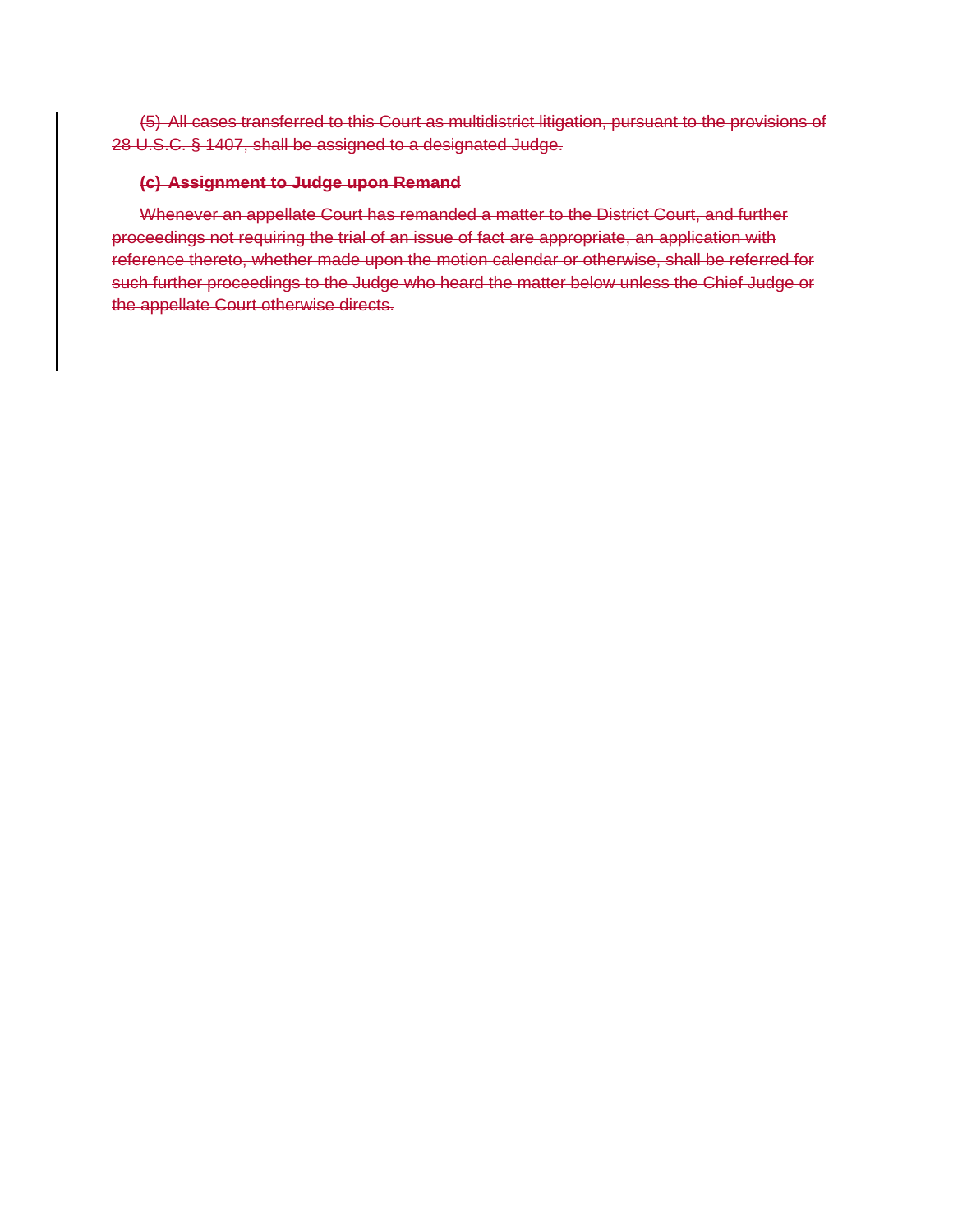(5) All cases transferred to this Court as multidistrict litigation, pursuant to the provisions of 28 U.S.C. § 1407, shall be assigned to a designated Judge.

## **(c) Assignment to Judge upon Remand**

Whenever an appellate Court has remanded a matter to the District Court, and further proceedings not requiring the trial of an issue of fact are appropriate, an application with reference thereto, whether made upon the motion calendar or otherwise, shall be referred for such further proceedings to the Judge who heard the matter below unless the Chief Judge or the appellate Court otherwise directs.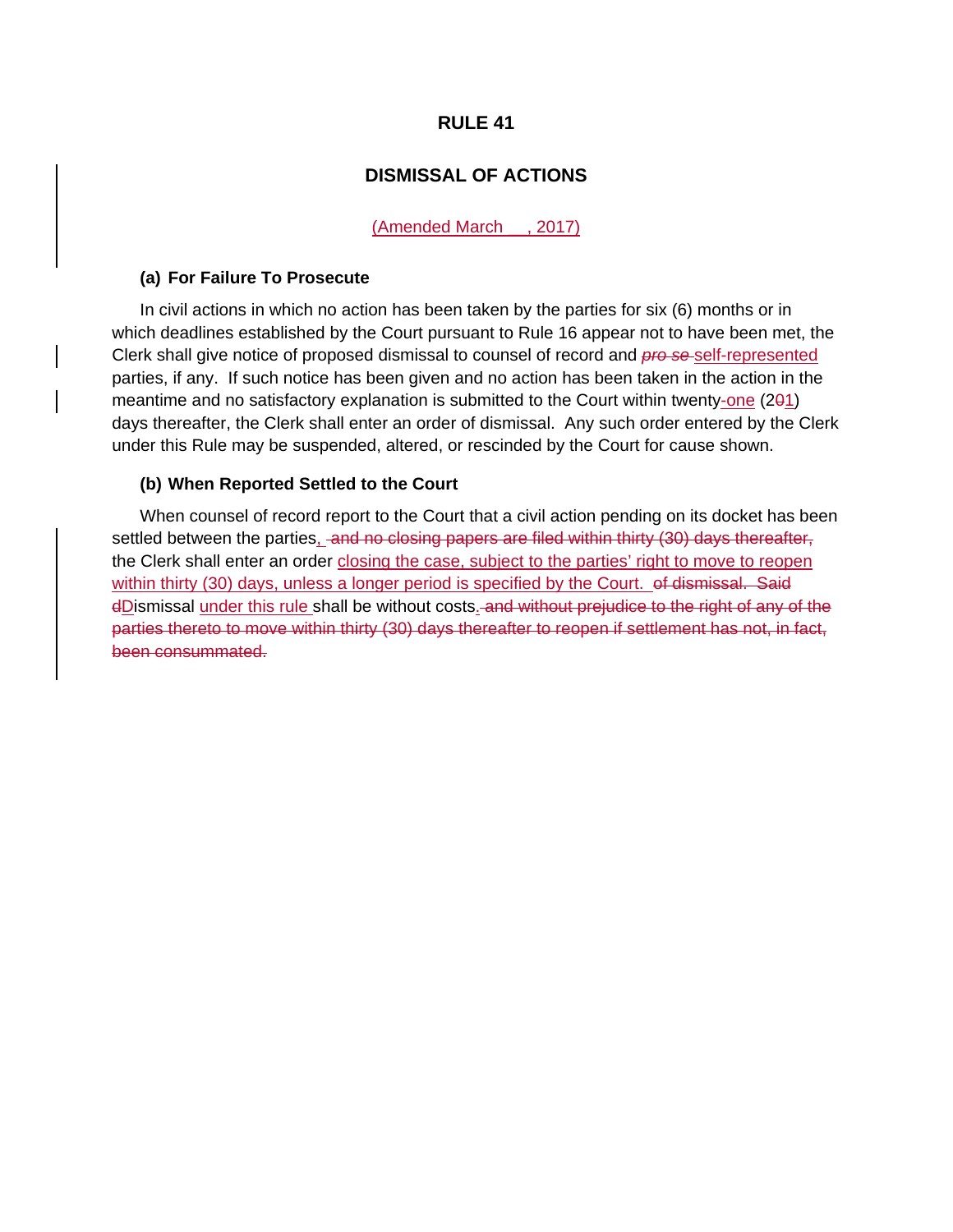# **DISMISSAL OF ACTIONS**

(Amended March \_\_, 2017)

## **(a) For Failure To Prosecute**

In civil actions in which no action has been taken by the parties for six (6) months or in which deadlines established by the Court pursuant to Rule 16 appear not to have been met, the Clerk shall give notice of proposed dismissal to counsel of record and *pro se* self-represented parties, if any. If such notice has been given and no action has been taken in the action in the meantime and no satisfactory explanation is submitted to the Court within twenty-one (201) days thereafter, the Clerk shall enter an order of dismissal. Any such order entered by the Clerk under this Rule may be suspended, altered, or rescinded by the Court for cause shown.

#### **(b) When Reported Settled to the Court**

When counsel of record report to the Court that a civil action pending on its docket has been settled between the parties, and no closing papers are filed within thirty (30) days thereafter, the Clerk shall enter an order closing the case, subject to the parties' right to move to reopen within thirty (30) days, unless a longer period is specified by the Court. of dismissal. Said dDismissal under this rule shall be without costs. and without prejudice to the right of any of the parties thereto to move within thirty (30) days thereafter to reopen if settlement has not, in fact, been consummated.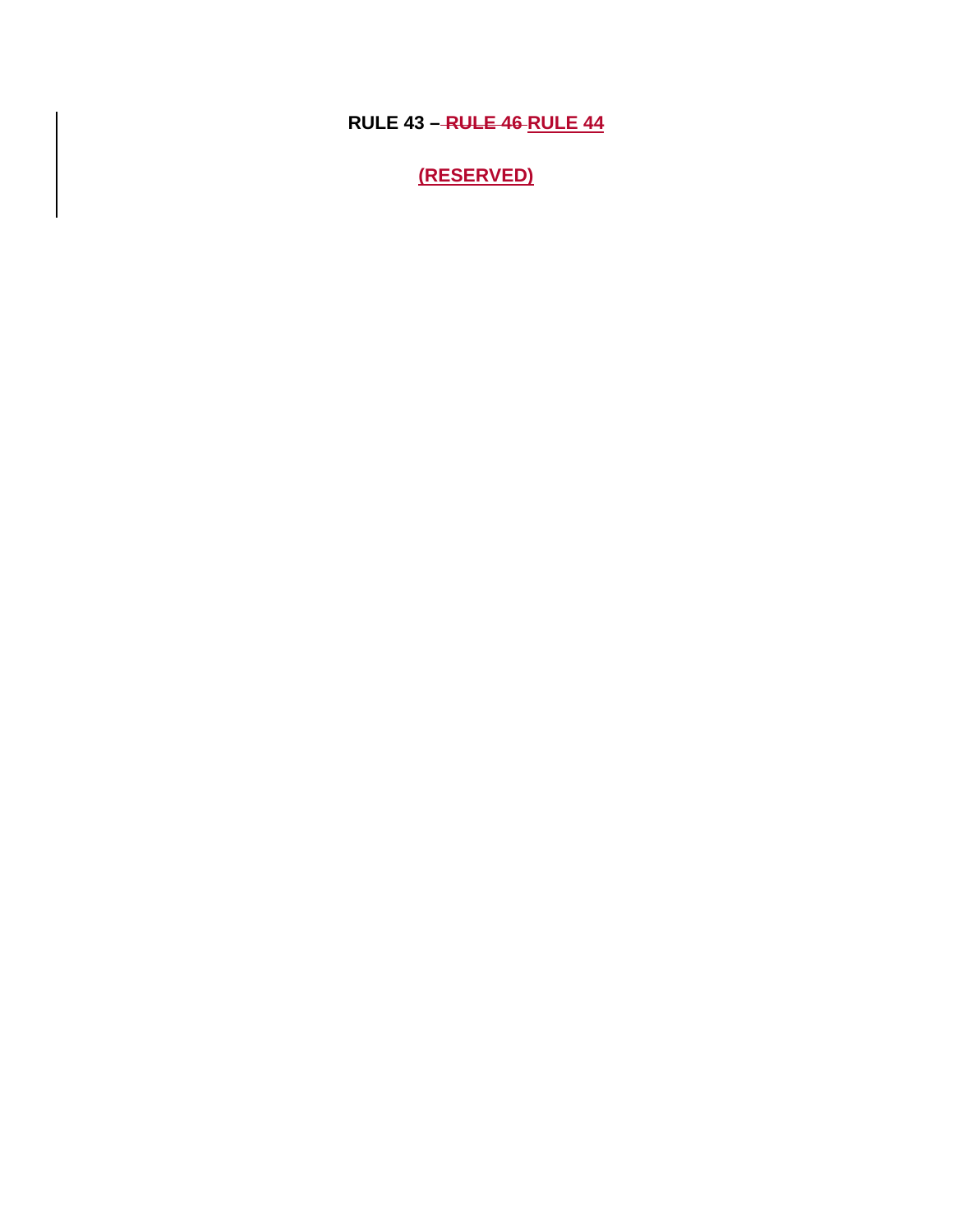**RULE 43 – RULE 46 RULE 44**

**(RESERVED)**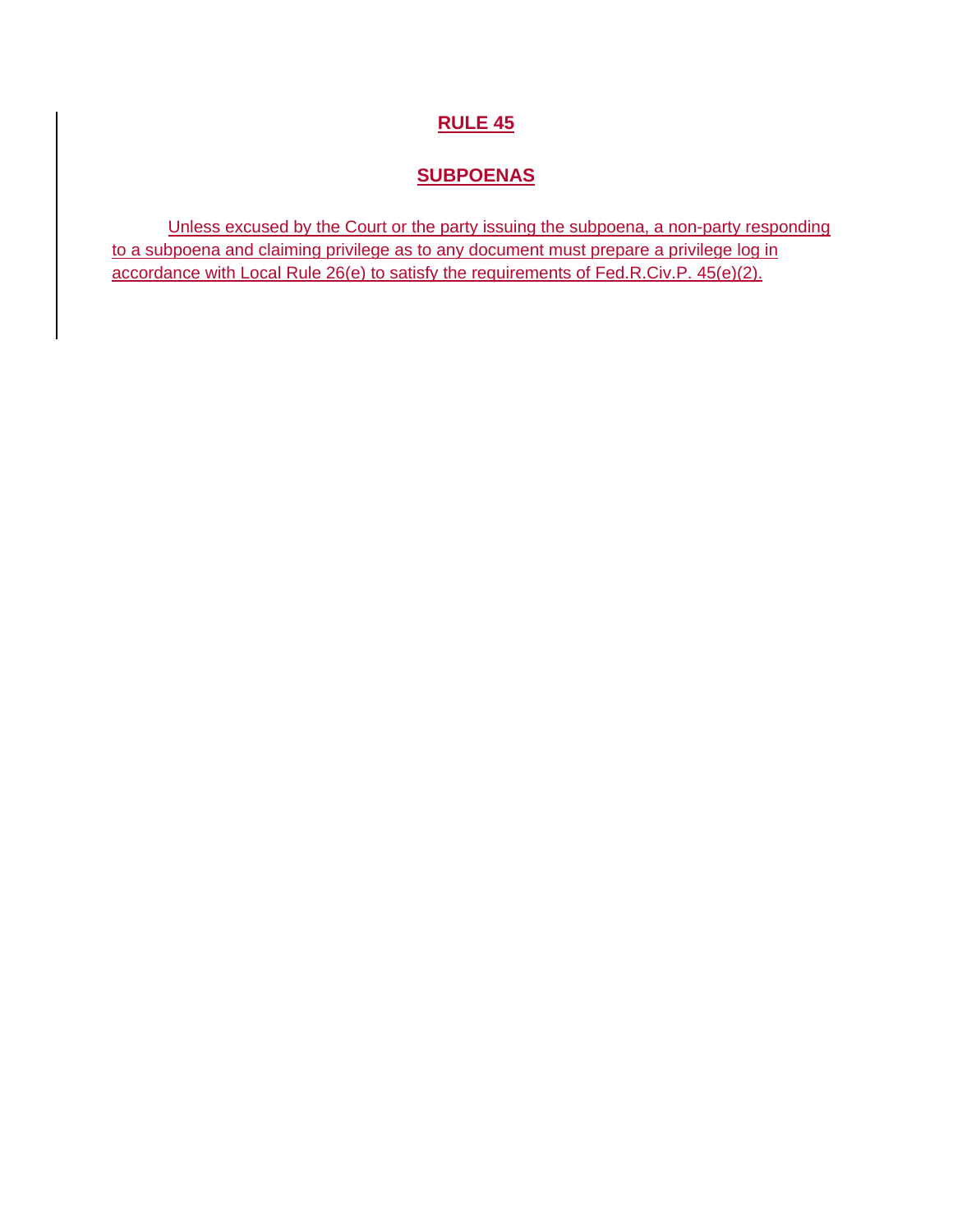# **SUBPOENAS**

Unless excused by the Court or the party issuing the subpoena, a non-party responding to a subpoena and claiming privilege as to any document must prepare a privilege log in accordance with Local Rule 26(e) to satisfy the requirements of Fed.R.Civ.P. 45(e)(2).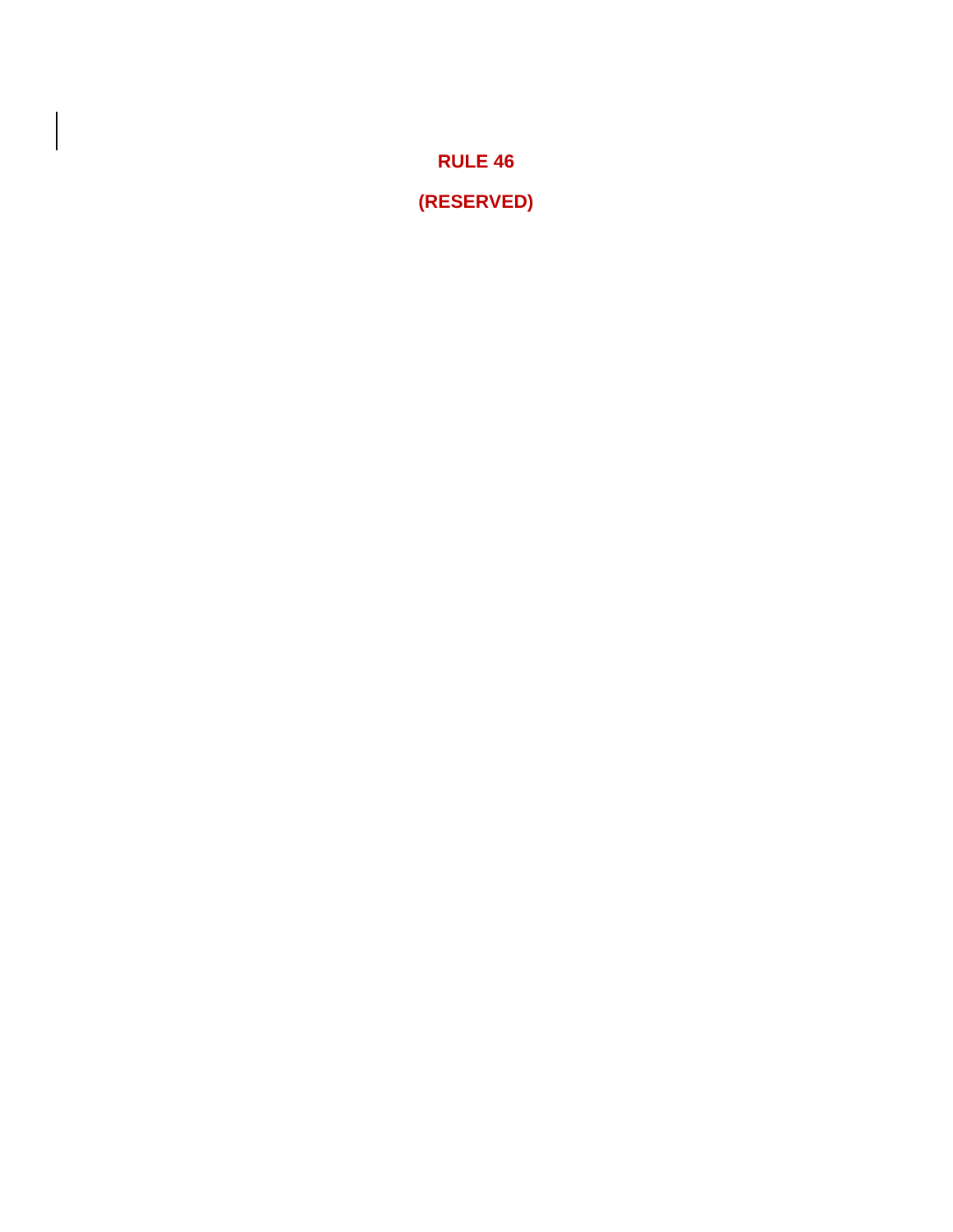**RULE 46 (RESERVED)**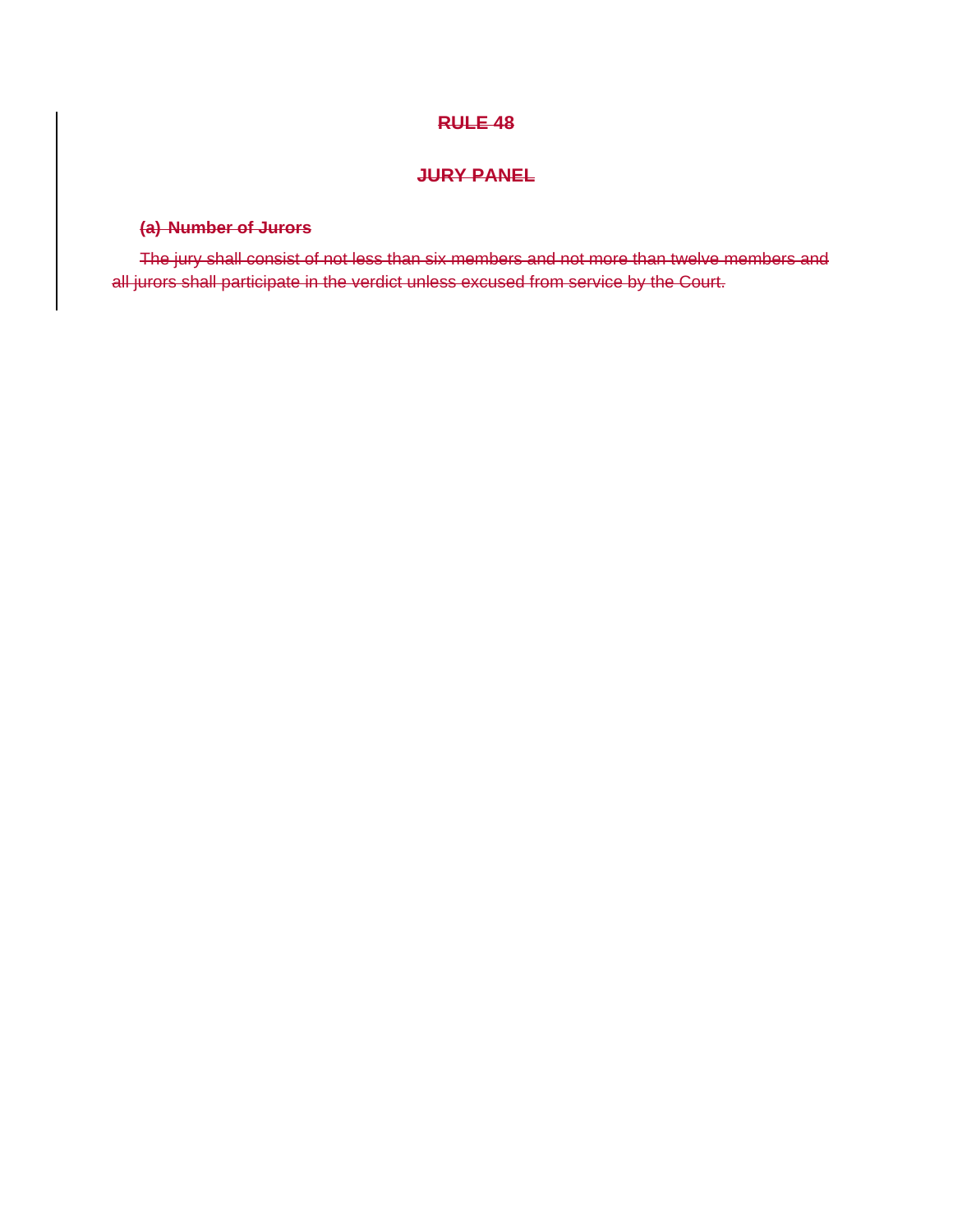# **JURY PANEL**

# **(a) Number of Jurors**

The jury shall consist of not less than six members and not more than twelve members and all jurors shall participate in the verdict unless excused from service by the Court.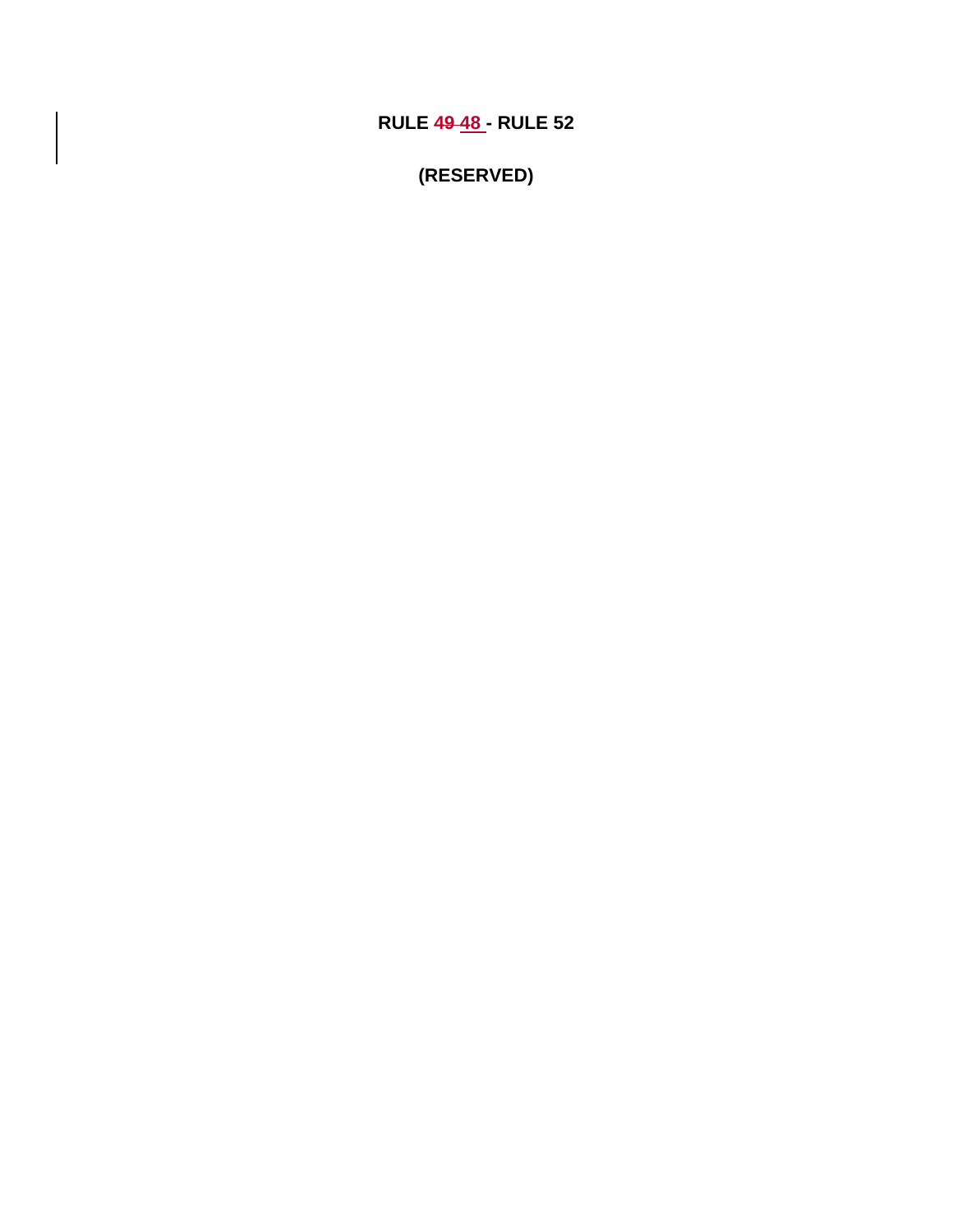**RULE 49 48 - RULE 52** 

**(RESERVED)**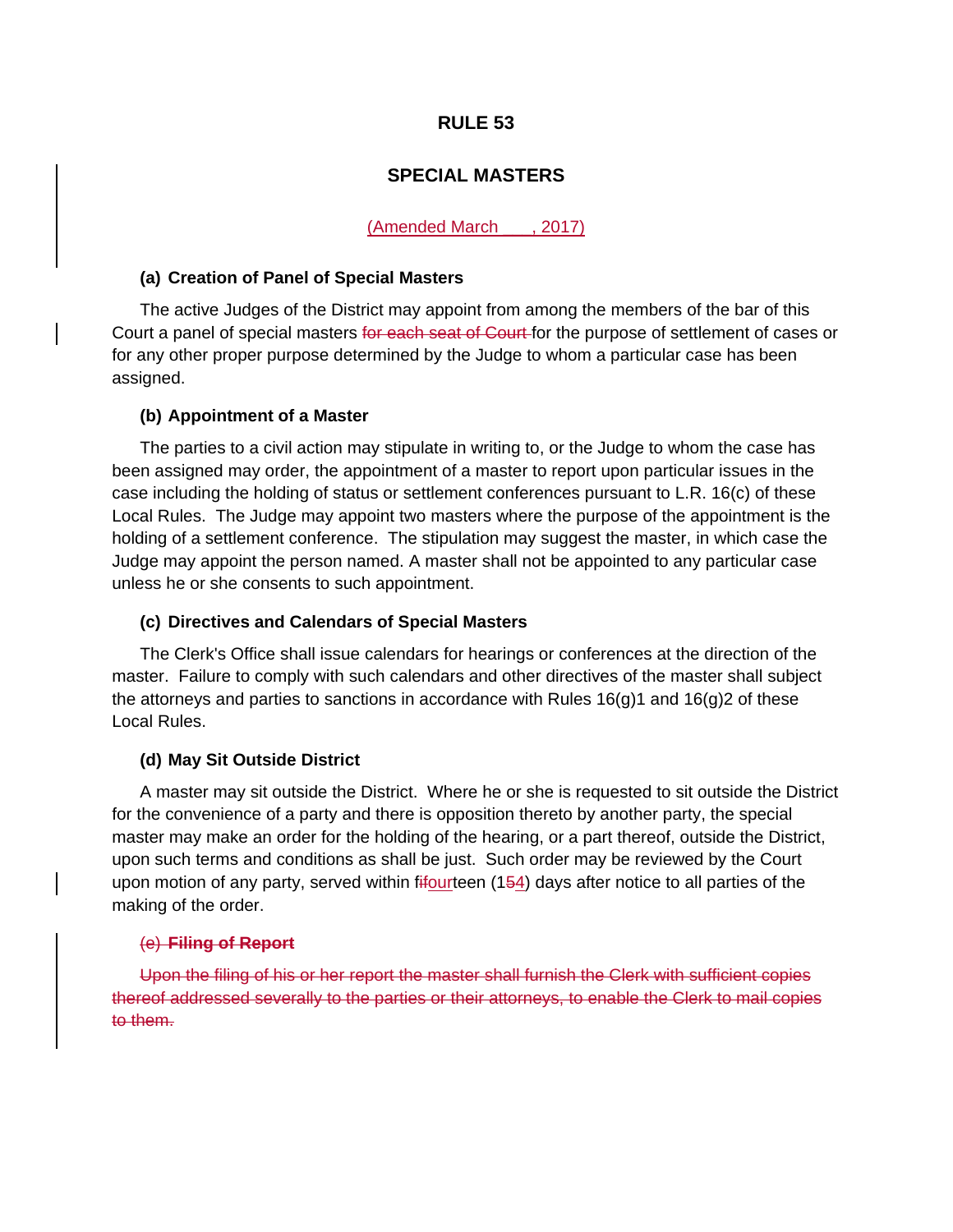# **SPECIAL MASTERS**

## (Amended March \_\_\_, 2017)

#### **(a) Creation of Panel of Special Masters**

The active Judges of the District may appoint from among the members of the bar of this Court a panel of special masters for each seat of Court for the purpose of settlement of cases or for any other proper purpose determined by the Judge to whom a particular case has been assigned.

## **(b) Appointment of a Master**

The parties to a civil action may stipulate in writing to, or the Judge to whom the case has been assigned may order, the appointment of a master to report upon particular issues in the case including the holding of status or settlement conferences pursuant to L.R. 16(c) of these Local Rules. The Judge may appoint two masters where the purpose of the appointment is the holding of a settlement conference. The stipulation may suggest the master, in which case the Judge may appoint the person named. A master shall not be appointed to any particular case unless he or she consents to such appointment.

## **(c) Directives and Calendars of Special Masters**

The Clerk's Office shall issue calendars for hearings or conferences at the direction of the master. Failure to comply with such calendars and other directives of the master shall subject the attorneys and parties to sanctions in accordance with Rules  $16(q)1$  and  $16(q)2$  of these Local Rules.

#### **(d) May Sit Outside District**

A master may sit outside the District. Where he or she is requested to sit outside the District for the convenience of a party and there is opposition thereto by another party, the special master may make an order for the holding of the hearing, or a part thereof, outside the District, upon such terms and conditions as shall be just. Such order may be reviewed by the Court upon motion of any party, served within fifourteen (154) days after notice to all parties of the making of the order.

#### (e) **Filing of Report**

Upon the filing of his or her report the master shall furnish the Clerk with sufficient copies thereof addressed severally to the parties or their attorneys, to enable the Clerk to mail copies to them.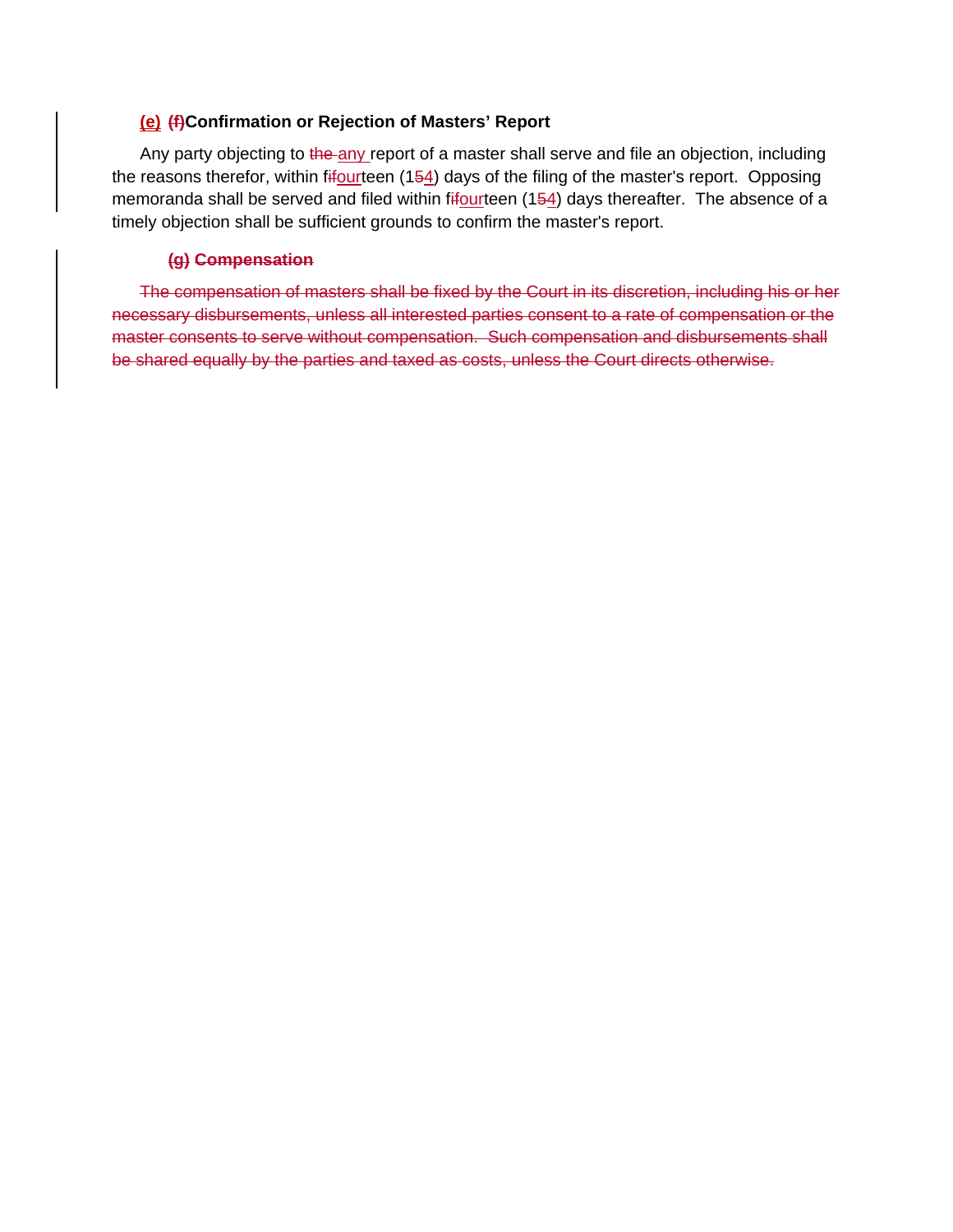## **(e) (f)Confirmation or Rejection of Masters' Report**

Any party objecting to the any report of a master shall serve and file an objection, including the reasons therefor, within fifourteen (154) days of the filing of the master's report. Opposing memoranda shall be served and filed within fifourteen (154) days thereafter. The absence of a timely objection shall be sufficient grounds to confirm the master's report.

## **(g) Compensation**

The compensation of masters shall be fixed by the Court in its discretion, including his or her necessary disbursements, unless all interested parties consent to a rate of compensation or the master consents to serve without compensation. Such compensation and disbursements shall be shared equally by the parties and taxed as costs, unless the Court directs otherwise.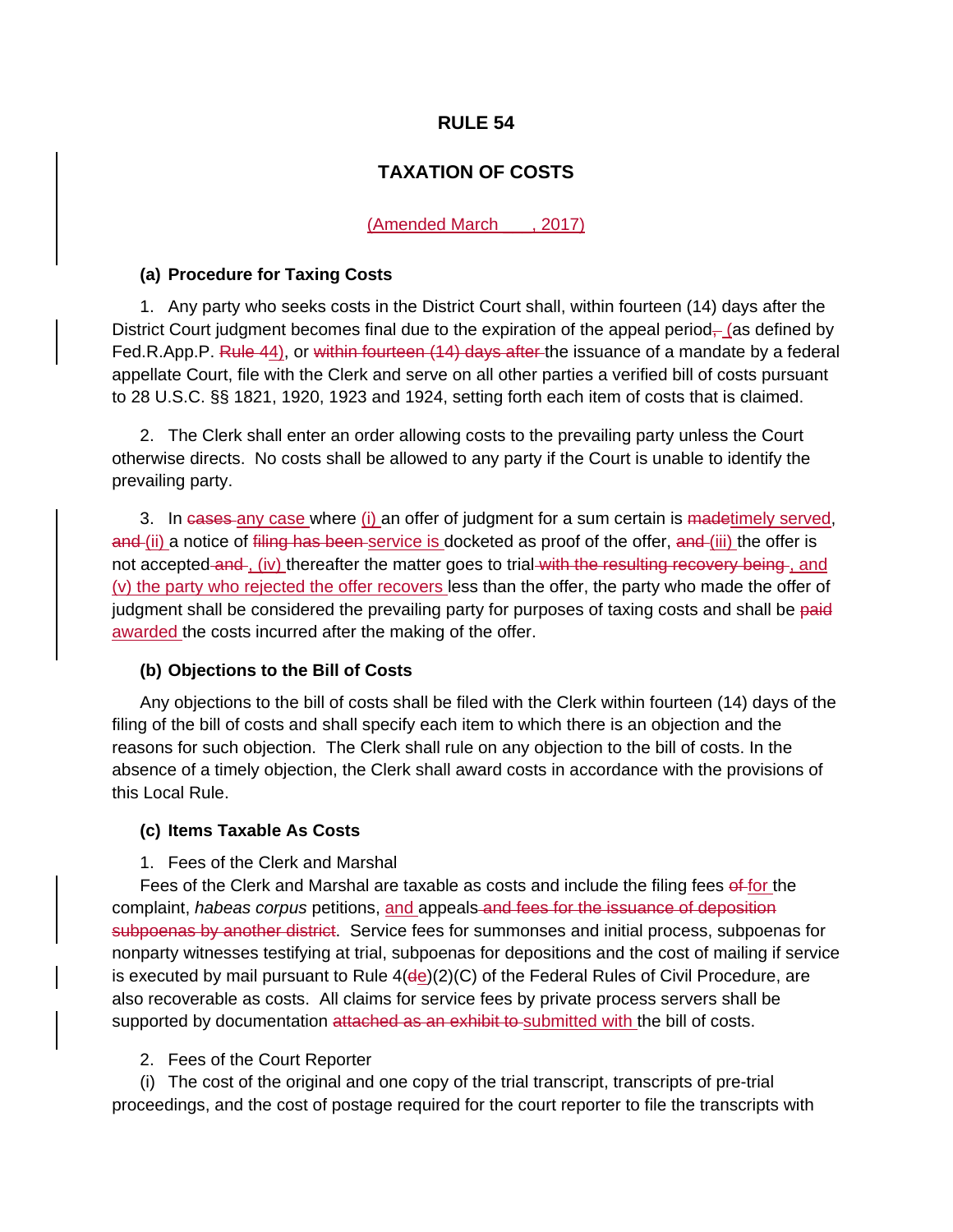# **TAXATION OF COSTS**

#### (Amended March \_\_\_, 2017)

#### **(a) Procedure for Taxing Costs**

1. Any party who seeks costs in the District Court shall, within fourteen (14) days after the District Court judgment becomes final due to the expiration of the appeal period $\frac{1}{10}$  (as defined by Fed.R.App.P. Rule 44), or within fourteen (14) days after the issuance of a mandate by a federal appellate Court, file with the Clerk and serve on all other parties a verified bill of costs pursuant to 28 U.S.C. §§ 1821, 1920, 1923 and 1924, setting forth each item of costs that is claimed.

2. The Clerk shall enter an order allowing costs to the prevailing party unless the Court otherwise directs. No costs shall be allowed to any party if the Court is unable to identify the prevailing party.

3. In cases any case where (i) an offer of judgment for a sum certain is madetimely served, and (ii) a notice of filing has been service is docketed as proof of the offer, and (iii) the offer is not accepted-and-, (iv) thereafter the matter goes to trial with the resulting recovery being-, and (v) the party who rejected the offer recovers less than the offer, the party who made the offer of judgment shall be considered the prevailing party for purposes of taxing costs and shall be paid awarded the costs incurred after the making of the offer.

## **(b) Objections to the Bill of Costs**

Any objections to the bill of costs shall be filed with the Clerk within fourteen (14) days of the filing of the bill of costs and shall specify each item to which there is an objection and the reasons for such objection. The Clerk shall rule on any objection to the bill of costs. In the absence of a timely objection, the Clerk shall award costs in accordance with the provisions of this Local Rule.

## **(c) Items Taxable As Costs**

#### 1. Fees of the Clerk and Marshal

Fees of the Clerk and Marshal are taxable as costs and include the filing fees of for the complaint, *habeas corpus* petitions, and appeals and fees for the issuance of deposition subpoenas by another district. Service fees for summonses and initial process, subpoenas for nonparty witnesses testifying at trial, subpoenas for depositions and the cost of mailing if service is executed by mail pursuant to Rule  $4$ ( $de$ )( $2$ )( $C$ ) of the Federal Rules of Civil Procedure, are also recoverable as costs. All claims for service fees by private process servers shall be supported by documentation attached as an exhibit to submitted with the bill of costs.

#### 2. Fees of the Court Reporter

(i) The cost of the original and one copy of the trial transcript, transcripts of pre-trial proceedings, and the cost of postage required for the court reporter to file the transcripts with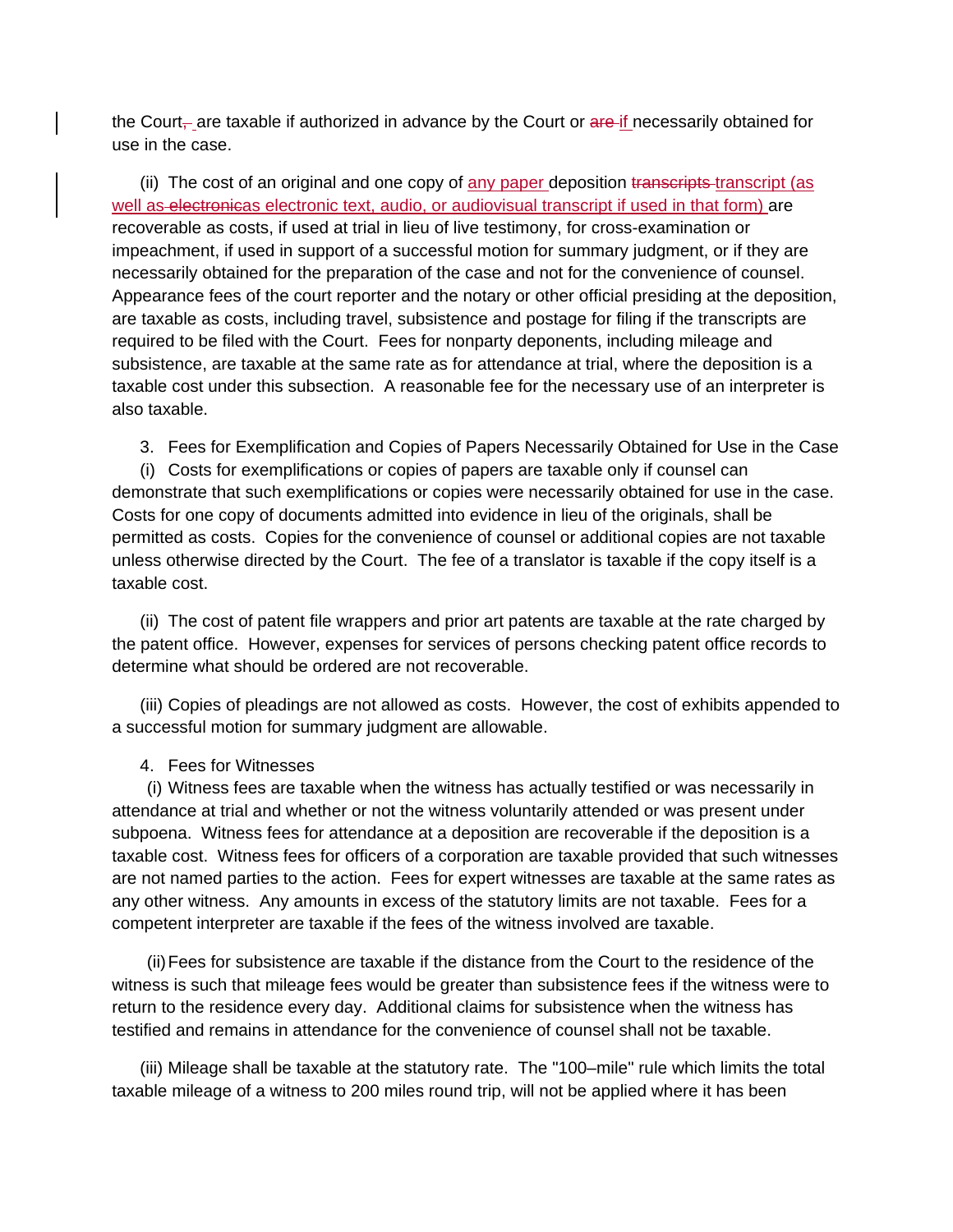the Court<sub></sub> are taxable if authorized in advance by the Court or are if necessarily obtained for use in the case.

(ii) The cost of an original and one copy of any paper deposition transcripts transcript (as well as electronicas electronic text, audio, or audiovisual transcript if used in that form) are recoverable as costs, if used at trial in lieu of live testimony, for cross-examination or impeachment, if used in support of a successful motion for summary judgment, or if they are necessarily obtained for the preparation of the case and not for the convenience of counsel. Appearance fees of the court reporter and the notary or other official presiding at the deposition, are taxable as costs, including travel, subsistence and postage for filing if the transcripts are required to be filed with the Court. Fees for nonparty deponents, including mileage and subsistence, are taxable at the same rate as for attendance at trial, where the deposition is a taxable cost under this subsection. A reasonable fee for the necessary use of an interpreter is also taxable.

3. Fees for Exemplification and Copies of Papers Necessarily Obtained for Use in the Case

(i) Costs for exemplifications or copies of papers are taxable only if counsel can demonstrate that such exemplifications or copies were necessarily obtained for use in the case. Costs for one copy of documents admitted into evidence in lieu of the originals, shall be permitted as costs. Copies for the convenience of counsel or additional copies are not taxable unless otherwise directed by the Court. The fee of a translator is taxable if the copy itself is a taxable cost.

(ii) The cost of patent file wrappers and prior art patents are taxable at the rate charged by the patent office. However, expenses for services of persons checking patent office records to determine what should be ordered are not recoverable.

(iii) Copies of pleadings are not allowed as costs. However, the cost of exhibits appended to a successful motion for summary judgment are allowable.

## 4. Fees for Witnesses

(i) Witness fees are taxable when the witness has actually testified or was necessarily in attendance at trial and whether or not the witness voluntarily attended or was present under subpoena. Witness fees for attendance at a deposition are recoverable if the deposition is a taxable cost. Witness fees for officers of a corporation are taxable provided that such witnesses are not named parties to the action. Fees for expert witnesses are taxable at the same rates as any other witness. Any amounts in excess of the statutory limits are not taxable. Fees for a competent interpreter are taxable if the fees of the witness involved are taxable.

(ii) Fees for subsistence are taxable if the distance from the Court to the residence of the witness is such that mileage fees would be greater than subsistence fees if the witness were to return to the residence every day. Additional claims for subsistence when the witness has testified and remains in attendance for the convenience of counsel shall not be taxable.

(iii) Mileage shall be taxable at the statutory rate. The "100–mile" rule which limits the total taxable mileage of a witness to 200 miles round trip, will not be applied where it has been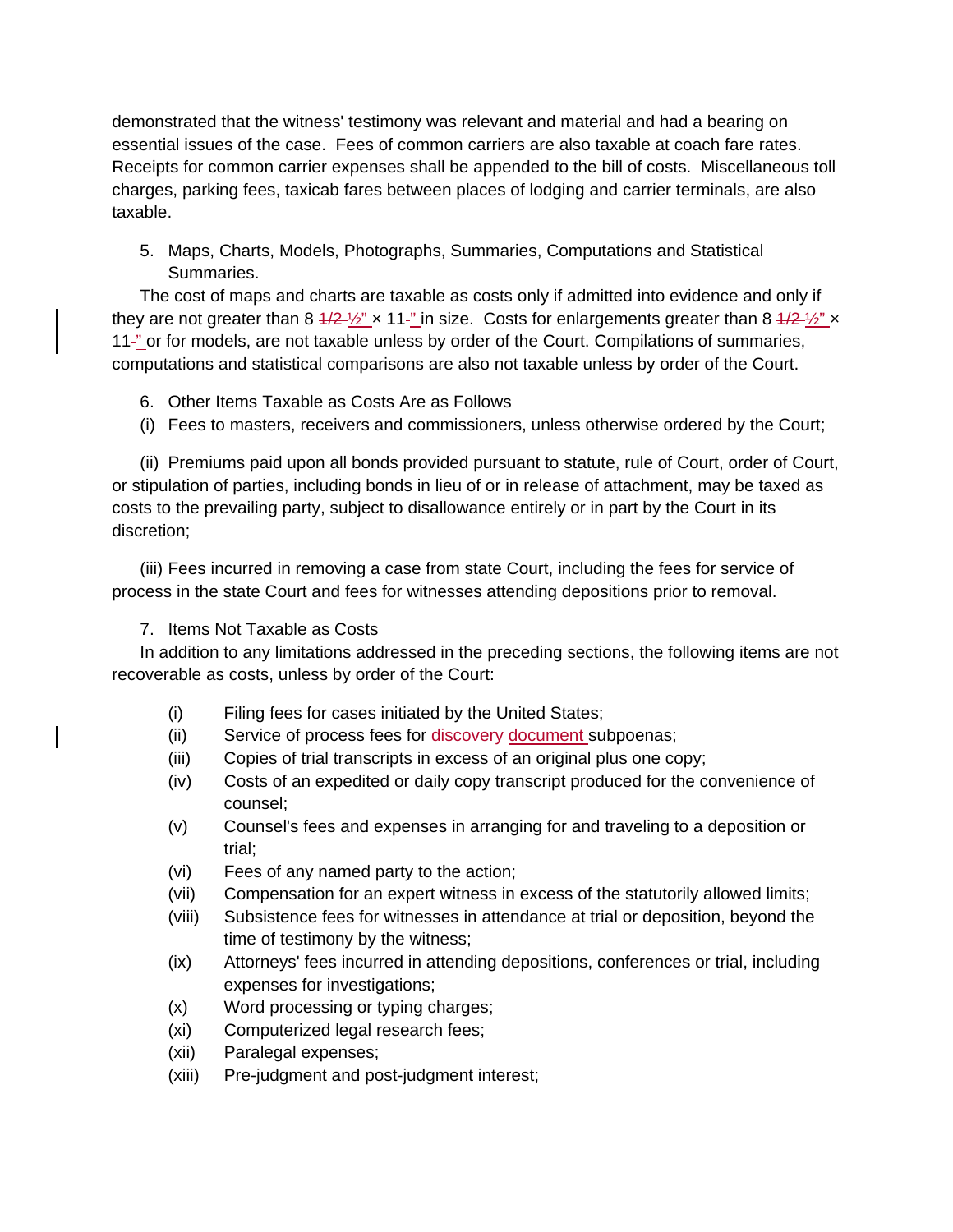demonstrated that the witness' testimony was relevant and material and had a bearing on essential issues of the case. Fees of common carriers are also taxable at coach fare rates. Receipts for common carrier expenses shall be appended to the bill of costs. Miscellaneous toll charges, parking fees, taxicab fares between places of lodging and carrier terminals, are also taxable.

5. Maps, Charts, Models, Photographs, Summaries, Computations and Statistical Summaries.

The cost of maps and charts are taxable as costs only if admitted into evidence and only if they are not greater than 8  $\frac{4}{2}$   $\frac{1}{2}$   $\times$  11<sup>-n</sup> in size. Costs for enlargements greater than 8  $\frac{4}{2}$   $\frac{1}{2}$   $\times$ 11<sup>-"</sup> or for models, are not taxable unless by order of the Court. Compilations of summaries, computations and statistical comparisons are also not taxable unless by order of the Court.

- 6. Other Items Taxable as Costs Are as Follows
- (i) Fees to masters, receivers and commissioners, unless otherwise ordered by the Court;

(ii) Premiums paid upon all bonds provided pursuant to statute, rule of Court, order of Court, or stipulation of parties, including bonds in lieu of or in release of attachment, may be taxed as costs to the prevailing party, subject to disallowance entirely or in part by the Court in its discretion;

(iii) Fees incurred in removing a case from state Court, including the fees for service of process in the state Court and fees for witnesses attending depositions prior to removal.

7. Items Not Taxable as Costs

In addition to any limitations addressed in the preceding sections, the following items are not recoverable as costs, unless by order of the Court:

- (i) Filing fees for cases initiated by the United States;
- (ii) Service of process fees for discovery document subpoenas;
- (iii) Copies of trial transcripts in excess of an original plus one copy;
- (iv) Costs of an expedited or daily copy transcript produced for the convenience of counsel;
- (v) Counsel's fees and expenses in arranging for and traveling to a deposition or trial;
- (vi) Fees of any named party to the action;
- (vii) Compensation for an expert witness in excess of the statutorily allowed limits;
- (viii) Subsistence fees for witnesses in attendance at trial or deposition, beyond the time of testimony by the witness;
- (ix) Attorneys' fees incurred in attending depositions, conferences or trial, including expenses for investigations;
- (x) Word processing or typing charges;
- (xi) Computerized legal research fees;
- (xii) Paralegal expenses;
- (xiii) Pre-judgment and post-judgment interest;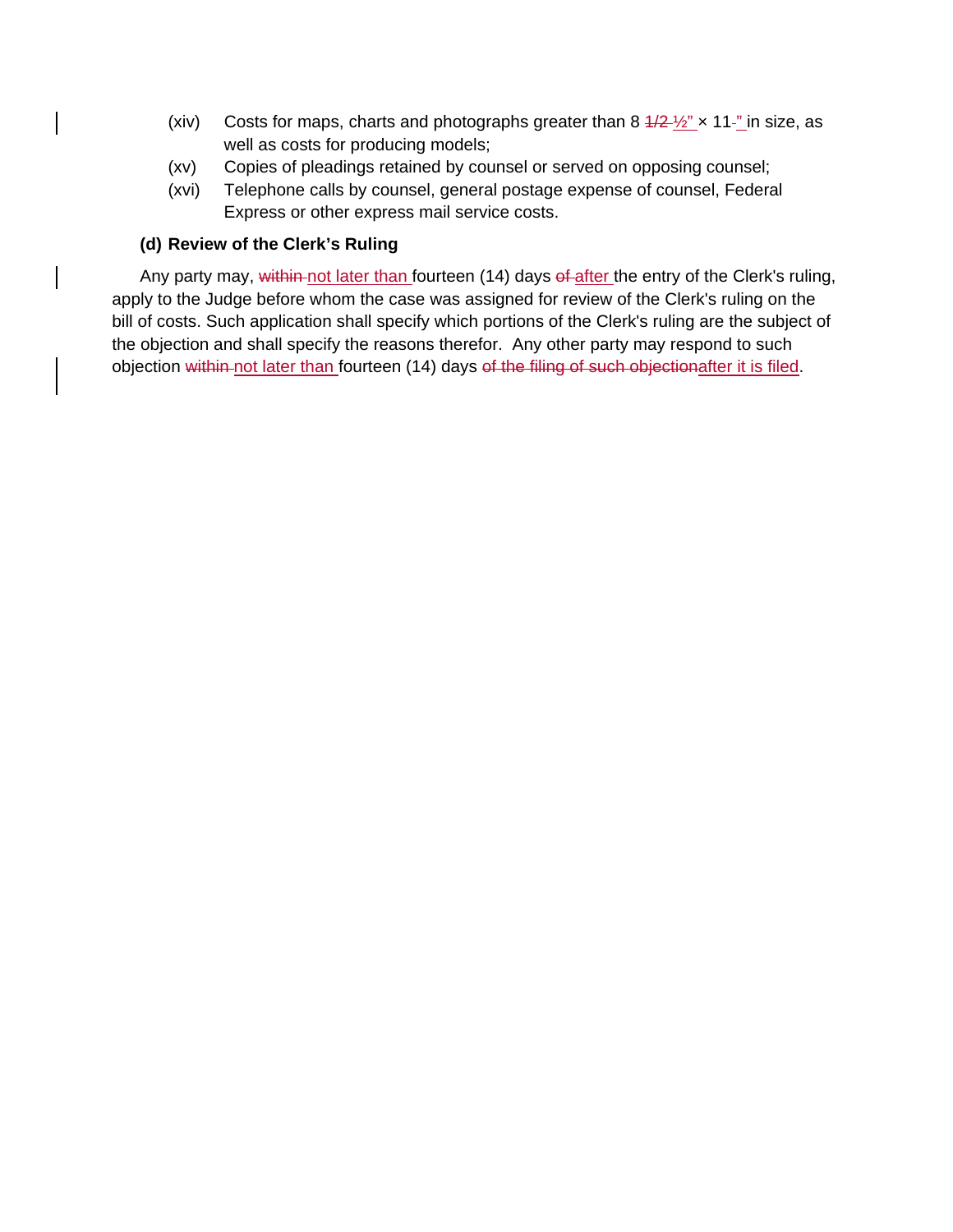- (xiv) Costs for maps, charts and photographs greater than  $8\frac{4}{2}\frac{1}{2}$   $\times$  11<sup>-n</sup> in size, as well as costs for producing models;
- (xv) Copies of pleadings retained by counsel or served on opposing counsel;
- (xvi) Telephone calls by counsel, general postage expense of counsel, Federal Express or other express mail service costs.

# **(d) Review of the Clerk's Ruling**

Any party may, within not later than fourteen (14) days of after the entry of the Clerk's ruling, apply to the Judge before whom the case was assigned for review of the Clerk's ruling on the bill of costs. Such application shall specify which portions of the Clerk's ruling are the subject of the objection and shall specify the reasons therefor. Any other party may respond to such objection within not later than fourteen (14) days of the filing of such objectionafter it is filed.